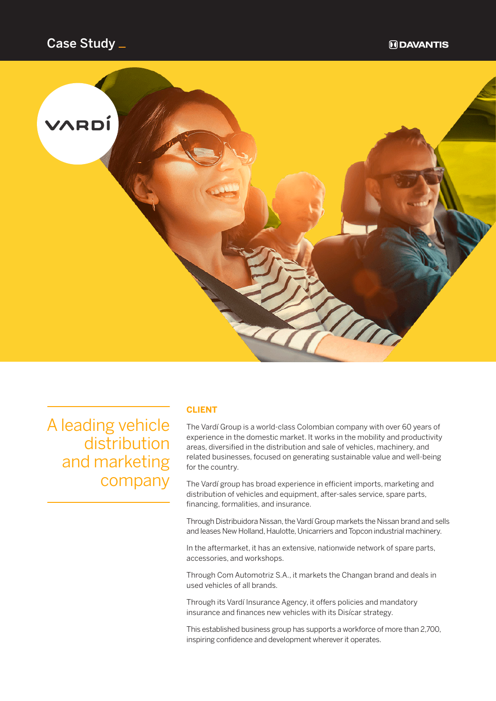

A leading vehicle distribution and marketing company

### **CLIENT**

The Vardí Group is a world-class Colombian company with over 60 years of experience in the domestic market. It works in the mobility and productivity areas, diversified in the distribution and sale of vehicles, machinery, and related businesses, focused on generating sustainable value and well-being for the country.

The Vardí group has broad experience in efficient imports, marketing and distribution of vehicles and equipment, after-sales service, spare parts, financing, formalities, and insurance.

Through Distribuidora Nissan, the Vardí Group markets the Nissan brand and sells and leases New Holland, Haulotte, Unicarriers and Topcon industrial machinery.

In the aftermarket, it has an extensive, nationwide network of spare parts, accessories, and workshops.

Through Com Automotriz S.A., it markets the Changan brand and deals in used vehicles of all brands.

Through its Vardí Insurance Agency, it offers policies and mandatory insurance and finances new vehicles with its Disícar strategy.

This established business group has supports a workforce of more than 2,700, inspiring confidence and development wherever it operates.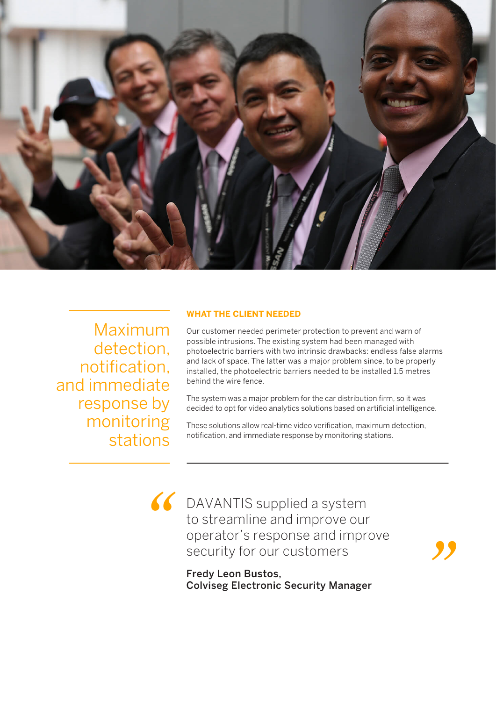

Maximum detection, notification, and immediate response by monitoring stations

*"*

## **WHAT THE CLIENT NEEDED**

Our customer needed perimeter protection to prevent and warn of possible intrusions. The existing system had been managed with photoelectric barriers with two intrinsic drawbacks: endless false alarms and lack of space. The latter was a major problem since, to be properly installed, the photoelectric barriers needed to be installed 1.5 metres behind the wire fence.

The system was a major problem for the car distribution firm, so it was decided to opt for video analytics solutions based on artificial intelligence.

These solutions allow real-time video verification, maximum detection, notification, and immediate response by monitoring stations.

DAVANTIS supplied a system to streamline and improve our operator's response and improve security for our customers

Fredy Leon Bustos, Colviseg Electronic Security Manager *"*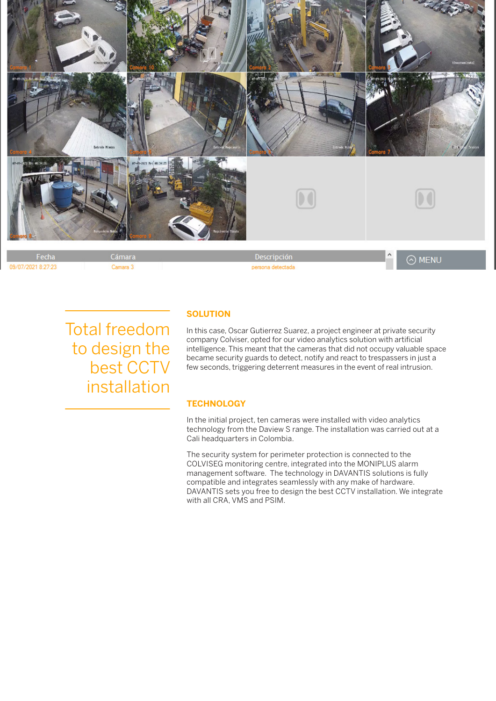

Total freedom to design the best CCTV installation

## **SOLUTION**

In this case, Oscar Gutierrez Suarez, a project engineer at private security company Colviser, opted for our video analytics solution with artificial intelligence. This meant that the cameras that did not occupy valuable space became security guards to detect, notify and react to trespassers in just a few seconds, triggering deterrent measures in the event of real intrusion.

#### **TECHNOLOGY**

In the initial project, ten cameras were installed with video analytics technology from the Daview S range. The installation was carried out at a Cali headquarters in Colombia.

The security system for perimeter protection is connected to the COLVISEG monitoring centre, integrated into the MONIPLUS alarm management software. The technology in DAVANTIS solutions is fully compatible and integrates seamlessly with any make of hardware. DAVANTIS sets you free to design the best CCTV installation. We integrate with all CRA, VMS and PSIM.